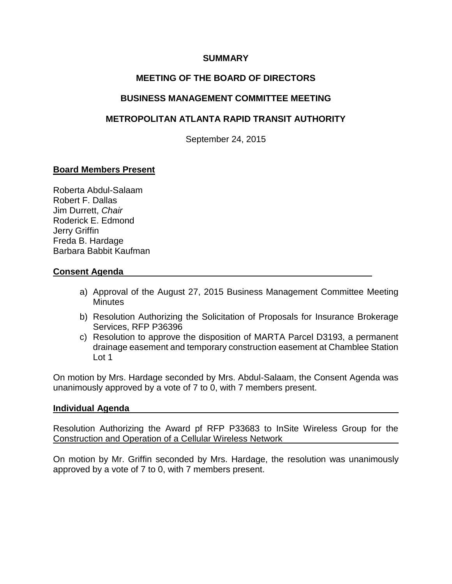### **SUMMARY**

# **MEETING OF THE BOARD OF DIRECTORS**

## **BUSINESS MANAGEMENT COMMITTEE MEETING**

## **METROPOLITAN ATLANTA RAPID TRANSIT AUTHORITY**

September 24, 2015

## **Board Members Present**

Roberta Abdul-Salaam Robert F. Dallas Jim Durrett, *Chair* Roderick E. Edmond Jerry Griffin Freda B. Hardage Barbara Babbit Kaufman

### **Consent Agenda**

- a) Approval of the August 27, 2015 Business Management Committee Meeting **Minutes**
- b) Resolution Authorizing the Solicitation of Proposals for Insurance Brokerage Services, RFP P36396
- c) Resolution to approve the disposition of MARTA Parcel D3193, a permanent drainage easement and temporary construction easement at Chamblee Station Lot 1

On motion by Mrs. Hardage seconded by Mrs. Abdul-Salaam, the Consent Agenda was unanimously approved by a vote of 7 to 0, with 7 members present.

#### **Individual Agenda**

Resolution Authorizing the Award pf RFP P33683 to InSite Wireless Group for the Construction and Operation of a Cellular Wireless Network

On motion by Mr. Griffin seconded by Mrs. Hardage, the resolution was unanimously approved by a vote of 7 to 0, with 7 members present.